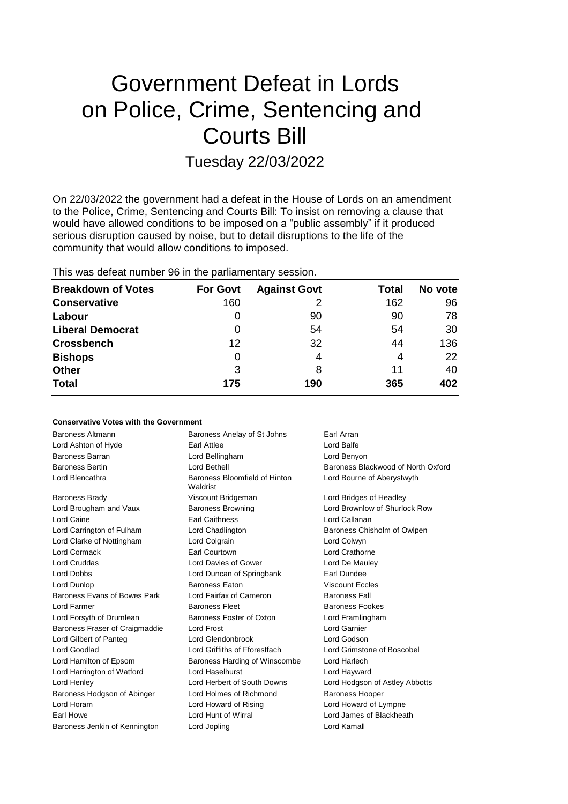# Government Defeat in Lords on Police, Crime, Sentencing and Courts Bill

Tuesday 22/03/2022

On 22/03/2022 the government had a defeat in the House of Lords on an amendment to the Police, Crime, Sentencing and Courts Bill: To insist on removing a clause that would have allowed conditions to be imposed on a "public assembly" if it produced serious disruption caused by noise, but to detail disruptions to the life of the community that would allow conditions to imposed.

This was defeat number 96 in the parliamentary session.

| <b>Breakdown of Votes</b> | <b>For Govt</b> | <b>Against Govt</b> | Total | No vote |
|---------------------------|-----------------|---------------------|-------|---------|
| <b>Conservative</b>       | 160             | 2                   | 162   | 96      |
| Labour                    |                 | 90                  | 90    | 78      |
| <b>Liberal Democrat</b>   | 0               | 54                  | 54    | 30      |
| <b>Crossbench</b>         | 12              | 32                  | 44    | 136     |
| <b>Bishops</b>            | 0               | 4                   | 4     | 22      |
| <b>Other</b>              | 3               | 8                   | 11    | 40      |
| <b>Total</b>              | 175             | 190                 | 365   | 402     |

### **Conservative Votes with the Government**

| Baroness Altmann               | Baroness Anelay of St Johns               | Earl Arran                         |
|--------------------------------|-------------------------------------------|------------------------------------|
| Lord Ashton of Hyde            | <b>Farl Attlee</b>                        | Lord Balfe                         |
| Baroness Barran                | Lord Bellingham                           | Lord Benyon                        |
| <b>Baroness Bertin</b>         | Lord Bethell                              | Baroness Blackwood of North Oxford |
| Lord Blencathra                | Baroness Bloomfield of Hinton<br>Waldrist | Lord Bourne of Aberystwyth         |
| <b>Baroness Brady</b>          | Viscount Bridgeman                        | Lord Bridges of Headley            |
| Lord Brougham and Vaux         | <b>Baroness Browning</b>                  | Lord Brownlow of Shurlock Row      |
| Lord Caine                     | <b>Earl Caithness</b>                     | Lord Callanan                      |
| Lord Carrington of Fulham      | Lord Chadlington                          | Baroness Chisholm of Owlpen        |
| Lord Clarke of Nottingham      | Lord Colgrain                             | Lord Colwyn                        |
| Lord Cormack                   | Earl Courtown                             | Lord Crathorne                     |
| Lord Cruddas                   | Lord Davies of Gower                      | Lord De Mauley                     |
| Lord Dobbs                     | Lord Duncan of Springbank                 | Earl Dundee                        |
| Lord Dunlop                    | <b>Baroness Eaton</b>                     | <b>Viscount Eccles</b>             |
| Baroness Evans of Bowes Park   | Lord Fairfax of Cameron                   | <b>Baroness Fall</b>               |
| Lord Farmer                    | <b>Baroness Fleet</b>                     | <b>Baroness Fookes</b>             |
| Lord Forsyth of Drumlean       | Baroness Foster of Oxton                  | Lord Framlingham                   |
| Baroness Fraser of Craigmaddie | Lord Frost                                | Lord Garnier                       |
| Lord Gilbert of Panteg         | Lord Glendonbrook                         | Lord Godson                        |
| Lord Goodlad                   | Lord Griffiths of Fforestfach             | Lord Grimstone of Boscobel         |
| Lord Hamilton of Epsom         | Baroness Harding of Winscombe             | Lord Harlech                       |
| Lord Harrington of Watford     | Lord Haselhurst                           | Lord Hayward                       |
| Lord Henley                    | Lord Herbert of South Downs               | Lord Hodgson of Astley Abbotts     |
| Baroness Hodgson of Abinger    | Lord Holmes of Richmond                   | <b>Baroness Hooper</b>             |
| Lord Horam                     | Lord Howard of Rising                     | Lord Howard of Lympne              |
| Earl Howe                      | Lord Hunt of Wirral                       | Lord James of Blackheath           |
| Baroness Jenkin of Kennington  | Lord Jopling                              | Lord Kamall                        |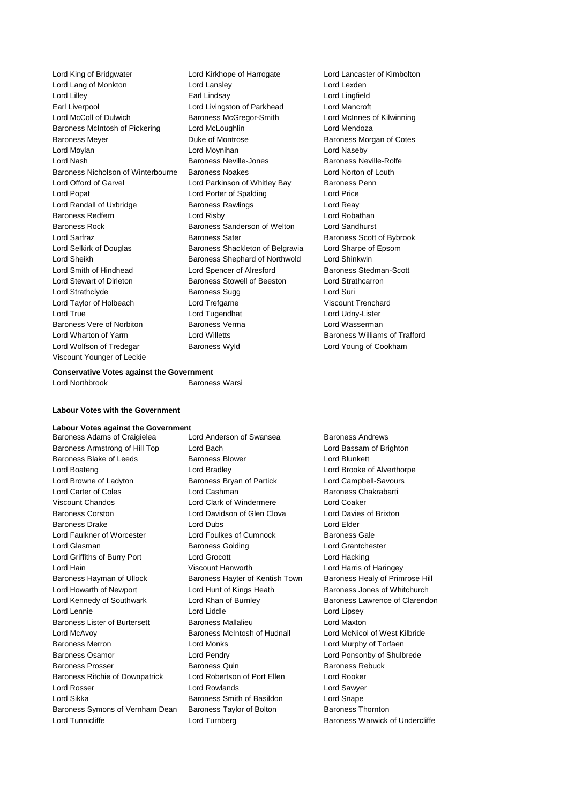Lord King of Bridgwater Lord Kirkhope of Harrogate Lord Lancaster of Kimbolton Lord Lang of Monkton Lord Lansley Lord Lexden Lord Lilley Earl Lindsay Lord Lingfield Earl Liverpool Lord Livingston of Parkhead Lord Mancroft Lord McColl of Dulwich Baroness McGregor-Smith Lord McInnes of Kilwinning Baroness McIntosh of Pickering Lord McLoughlin Lord Mendoza Baroness Meyer **Duke of Montrose** Baroness Morgan of Cotes Lord Moylan Lord Moynihan Lord Naseby Lord Nash Baroness Neville-Jones Baroness Neville-Rolfe Baroness Nicholson of Winterbourne Baroness Noakes Lord Norton of Louth Lord Offord of Garvel **Lord Parkinson of Whitley Bay** Baroness Penn Lord Popat Lord Porter of Spalding Lord Price Lord Randall of Uxbridge **Baroness Rawlings Lord Reay** Baroness Redfern **Lord Risby** Lord Risby **Lord Robathan** Baroness Rock Baroness Sanderson of Welton Lord Sandhurst Lord Sarfraz **Baroness Sater** Baroness Sater Baroness Scott of Bybrook Lord Selkirk of Douglas Baroness Shackleton of Belgravia Lord Sharpe of Epsom Lord Sheikh Baroness Shephard of Northwold Lord Shinkwin Lord Smith of Hindhead Lord Spencer of Alresford Baroness Stedman-Scott Lord Stewart of Dirleton Baroness Stowell of Beeston Lord Strathcarron Lord Strathclyde **Baroness Sugg Lord Suri** Lord Taylor of Holbeach Lord Trefgarne Viscount Trenchard Lord True Lord Tugendhat Lord Udny-Lister Baroness Vere of Norbiton **Baroness Verma** Baroness Verman Lord Wasserman Lord Wharton of Yarm **Lord Willetts** Baroness Williams of Trafford **Lord Willetts** Baroness Williams of Trafford Lord Wolfson of Tredegar Baroness Wyld Lord Young of Cookham Viscount Younger of Leckie

### **Conservative Votes against the Government** Lord Northbrook Baroness Warsi

### **Labour Votes with the Government**

# **Labour Votes against the Government**

Baroness Armstrong of Hill Top Lord Bach Lord Bassam of Brighton Baroness Blake of Leeds **Baroness Blower** Baroness Blower **Lord Blunkett** Lord Boateng Lord Bradley Lord Brooke of Alverthorpe Lord Browne of Ladyton **Baroness Bryan of Partick** Lord Campbell-Savours Lord Carter of Coles Lord Cashman Baroness Chakrabarti Viscount Chandos Lord Clark of Windermere Lord Coaker Baroness Corston Lord Davidson of Glen Clova Lord Davies of Brixton Baroness Drake Lord Dubs Lord Elder Lord Faulkner of Worcester **Lord Foulkes of Cumnock** Baroness Gale Lord Glasman Baroness Golding Lord Grantchester Lord Griffiths of Burry Port Lord Grocott Lord Hacking Lord Hain Viscount Hanworth Lord Harris of Haringey Baroness Hayman of Ullock Baroness Hayter of Kentish Town Baroness Healy of Primrose Hill Lord Howarth of Newport **Lord Hunt of Kings Heath** Baroness Jones of Whitchurch Lord Kennedy of Southwark Lord Khan of Burnley Baroness Lawrence of Clarendon Lord Lennie Lord Liddle Lord Lipsey Baroness Lister of Burtersett Baroness Mallalieu Lord Maxton Lord McAvoy Baroness McIntosh of Hudnall Lord McNicol of West Kilbride Baroness Merron Lord Monks Lord Murphy of Torfaen Baroness Osamor Lord Pendry Lord Ponsonby of Shulbrede Baroness Prosser Baroness Quin Baroness Rebuck Baroness Ritchie of Downpatrick Lord Robertson of Port Ellen Lord Rooker Lord Rosser Lord Rowlands Lord Sawyer Lord Sikka **Baroness Smith of Basildon** Lord Snape Baroness Symons of Vernham Dean Baroness Taylor of Bolton Baroness Thornton Lord Tunnicliffe **Lord Turnberg** Lord Turnberg **Baroness Warwick of Undercliffe** 

Baroness Adams of Craigielea Lord Anderson of Swansea Baroness Andrews